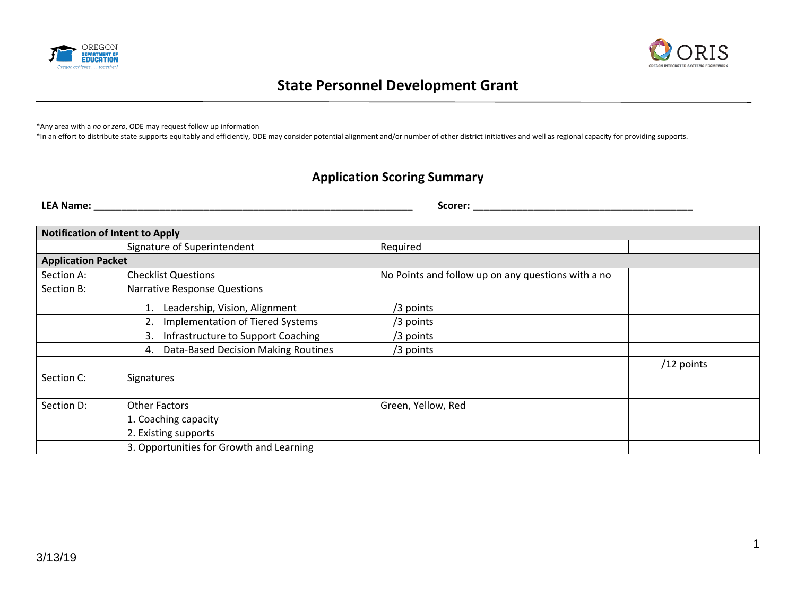



# **State Personnel Development Grant**

\*Any area with a *no* or *zero*, ODE may request follow up information

\*In an effort to distribute state supports equitably and efficiently, ODE may consider potential alignment and/or number of other district initiatives and well as regional capacity for providing supports.

# **Application Scoring Summary**

**LEA Name: \_\_\_\_\_\_\_\_\_\_\_\_\_\_\_\_\_\_\_\_\_\_\_\_\_\_\_\_\_\_\_\_\_\_\_\_\_\_\_\_\_\_\_\_\_\_\_\_\_\_\_\_\_\_\_\_\_\_ Scorer: \_\_\_\_\_\_\_\_\_\_\_\_\_\_\_\_\_\_\_\_\_\_\_\_\_\_\_\_\_\_\_\_\_\_\_\_\_\_\_\_**

| <b>Notification of Intent to Apply</b> |                                                  |                                                    |            |  |  |  |
|----------------------------------------|--------------------------------------------------|----------------------------------------------------|------------|--|--|--|
|                                        | Signature of Superintendent                      | Required                                           |            |  |  |  |
|                                        | <b>Application Packet</b>                        |                                                    |            |  |  |  |
| Section A:                             | <b>Checklist Questions</b>                       | No Points and follow up on any questions with a no |            |  |  |  |
| Section B:                             | <b>Narrative Response Questions</b>              |                                                    |            |  |  |  |
|                                        | Leadership, Vision, Alignment                    | /3 points                                          |            |  |  |  |
|                                        | <b>Implementation of Tiered Systems</b>          | /3 points                                          |            |  |  |  |
|                                        | Infrastructure to Support Coaching<br>3.         | /3 points                                          |            |  |  |  |
|                                        | <b>Data-Based Decision Making Routines</b><br>4. | /3 points                                          |            |  |  |  |
|                                        |                                                  |                                                    | /12 points |  |  |  |
| Section C:                             | Signatures                                       |                                                    |            |  |  |  |
| Section D:                             | <b>Other Factors</b>                             | Green, Yellow, Red                                 |            |  |  |  |
|                                        | 1. Coaching capacity                             |                                                    |            |  |  |  |
|                                        | 2. Existing supports                             |                                                    |            |  |  |  |
|                                        | 3. Opportunities for Growth and Learning         |                                                    |            |  |  |  |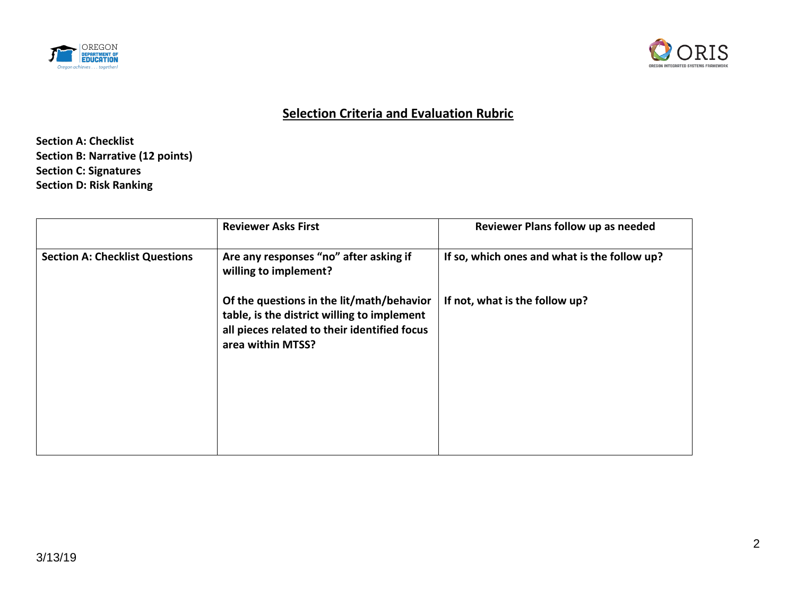



# **Selection Criteria and Evaluation Rubric**

**Section A: Checklist Section B: Narrative (12 points) Section C: Signatures Section D: Risk Ranking**

|                                       | <b>Reviewer Asks First</b>                                                                                                                                    | Reviewer Plans follow up as needed           |
|---------------------------------------|---------------------------------------------------------------------------------------------------------------------------------------------------------------|----------------------------------------------|
| <b>Section A: Checklist Questions</b> | Are any responses "no" after asking if<br>willing to implement?                                                                                               | If so, which ones and what is the follow up? |
|                                       | Of the questions in the lit/math/behavior<br>table, is the district willing to implement<br>all pieces related to their identified focus<br>area within MTSS? | If not, what is the follow up?               |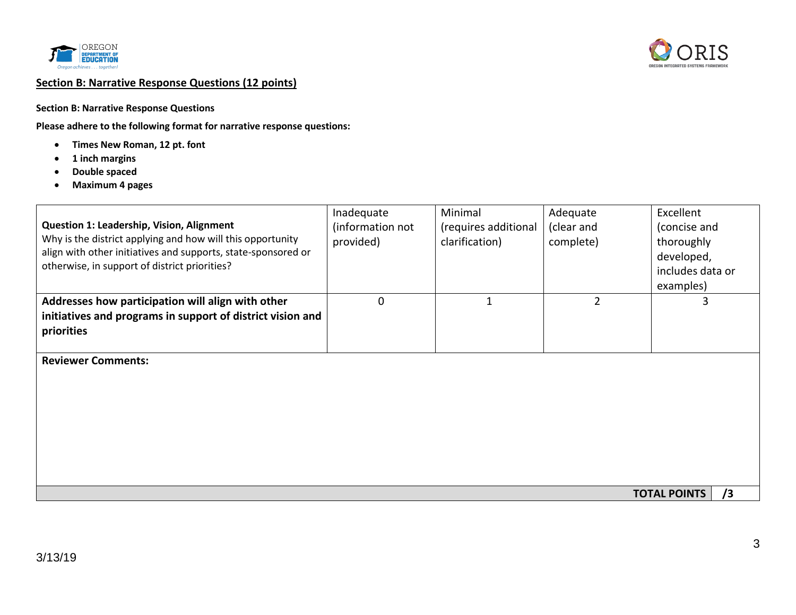



## **Section B: Narrative Response Questions (12 points)**

#### **Section B: Narrative Response Questions**

**Please adhere to the following format for narrative response questions:**

- **Times New Roman, 12 pt. font**
- **1 inch margins**
- **Double spaced**
- **Maximum 4 pages**

| <b>Question 1: Leadership, Vision, Alignment</b><br>Why is the district applying and how will this opportunity<br>align with other initiatives and supports, state-sponsored or<br>otherwise, in support of district priorities? | Inadequate<br>(information not<br>provided) | Minimal<br>(requires additional<br>clarification) | Adequate<br>(clear and<br>complete) | Excellent<br>(concise and<br>thoroughly<br>developed,<br>includes data or<br>examples) |  |
|----------------------------------------------------------------------------------------------------------------------------------------------------------------------------------------------------------------------------------|---------------------------------------------|---------------------------------------------------|-------------------------------------|----------------------------------------------------------------------------------------|--|
| Addresses how participation will align with other<br>initiatives and programs in support of district vision and<br>priorities                                                                                                    | 0                                           | $\mathbf{1}$                                      | $\overline{2}$                      | 3                                                                                      |  |
| <b>Reviewer Comments:</b>                                                                                                                                                                                                        |                                             |                                                   |                                     |                                                                                        |  |
|                                                                                                                                                                                                                                  |                                             |                                                   |                                     | /3<br><b>TOTAL POINTS</b>                                                              |  |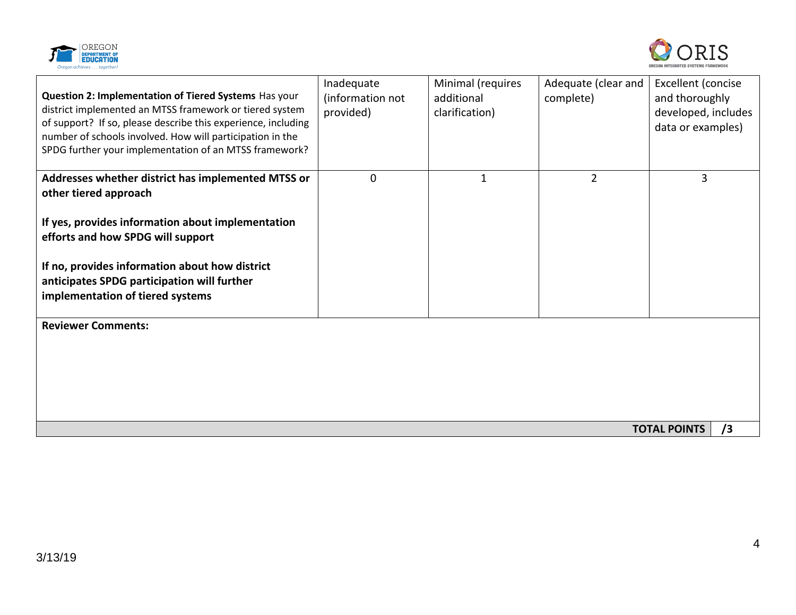



| Question 2: Implementation of Tiered Systems Has your<br>district implemented an MTSS framework or tiered system<br>of support? If so, please describe this experience, including<br>number of schools involved. How will participation in the<br>SPDG further your implementation of an MTSS framework? | Inadequate<br>(information not<br>provided) | Minimal (requires<br>additional<br>clarification) | Adequate (clear and<br>complete) | Excellent (concise<br>and thoroughly<br>developed, includes<br>data or examples) |
|----------------------------------------------------------------------------------------------------------------------------------------------------------------------------------------------------------------------------------------------------------------------------------------------------------|---------------------------------------------|---------------------------------------------------|----------------------------------|----------------------------------------------------------------------------------|
| Addresses whether district has implemented MTSS or<br>other tiered approach                                                                                                                                                                                                                              | $\mathbf 0$                                 | $\mathbf{1}$                                      | $\overline{2}$                   | 3                                                                                |
| If yes, provides information about implementation<br>efforts and how SPDG will support                                                                                                                                                                                                                   |                                             |                                                   |                                  |                                                                                  |
| If no, provides information about how district<br>anticipates SPDG participation will further<br>implementation of tiered systems                                                                                                                                                                        |                                             |                                                   |                                  |                                                                                  |
| <b>Reviewer Comments:</b>                                                                                                                                                                                                                                                                                |                                             |                                                   |                                  |                                                                                  |
|                                                                                                                                                                                                                                                                                                          |                                             |                                                   |                                  |                                                                                  |
|                                                                                                                                                                                                                                                                                                          |                                             |                                                   |                                  | /3<br><b>TOTAL POINTS</b>                                                        |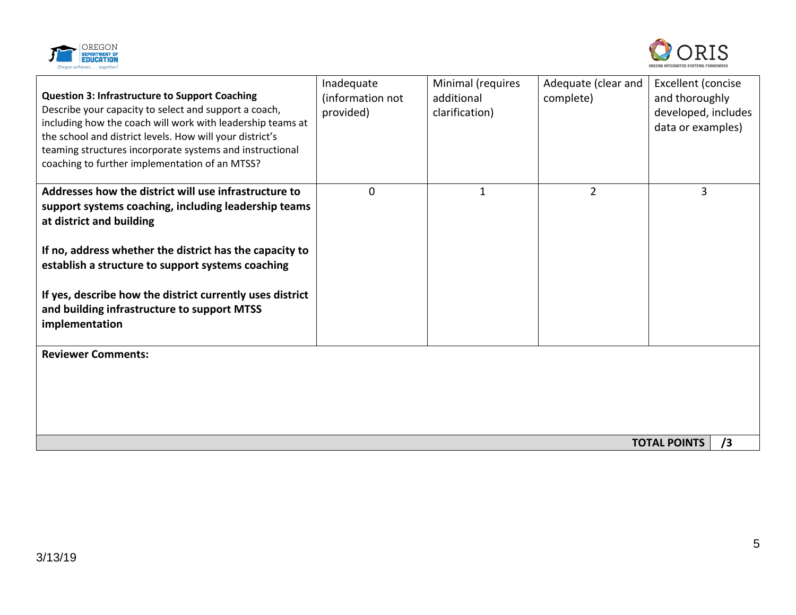



| <b>Question 3: Infrastructure to Support Coaching</b><br>Describe your capacity to select and support a coach,<br>including how the coach will work with leadership teams at<br>the school and district levels. How will your district's<br>teaming structures incorporate systems and instructional<br>coaching to further implementation of an MTSS?                                  | Inadequate<br>(information not<br>provided) | Minimal (requires<br>additional<br>clarification) | Adequate (clear and<br>complete) | Excellent (concise<br>and thoroughly<br>developed, includes<br>data or examples) |
|-----------------------------------------------------------------------------------------------------------------------------------------------------------------------------------------------------------------------------------------------------------------------------------------------------------------------------------------------------------------------------------------|---------------------------------------------|---------------------------------------------------|----------------------------------|----------------------------------------------------------------------------------|
| Addresses how the district will use infrastructure to<br>support systems coaching, including leadership teams<br>at district and building<br>If no, address whether the district has the capacity to<br>establish a structure to support systems coaching<br>If yes, describe how the district currently uses district<br>and building infrastructure to support MTSS<br>implementation | $\Omega$                                    | 1                                                 | 2                                | 3                                                                                |
| <b>Reviewer Comments:</b>                                                                                                                                                                                                                                                                                                                                                               |                                             |                                                   |                                  | <b>TOTAL POINTS</b><br>/3                                                        |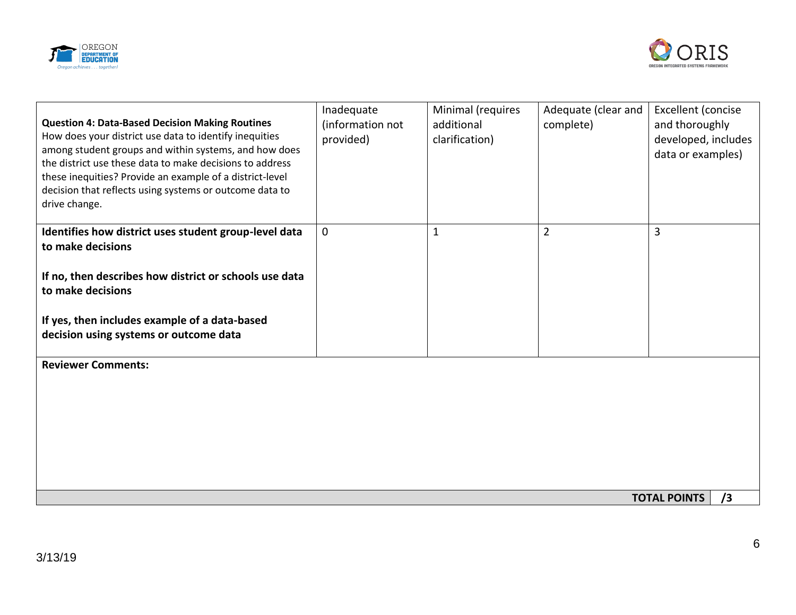



| <b>Question 4: Data-Based Decision Making Routines</b><br>How does your district use data to identify inequities<br>among student groups and within systems, and how does<br>the district use these data to make decisions to address<br>these inequities? Provide an example of a district-level<br>decision that reflects using systems or outcome data to<br>drive change. | Inadequate<br>(information not<br>provided) | Minimal (requires<br>additional<br>clarification) | Adequate (clear and<br>complete) | Excellent (concise<br>and thoroughly<br>developed, includes<br>data or examples) |
|-------------------------------------------------------------------------------------------------------------------------------------------------------------------------------------------------------------------------------------------------------------------------------------------------------------------------------------------------------------------------------|---------------------------------------------|---------------------------------------------------|----------------------------------|----------------------------------------------------------------------------------|
| Identifies how district uses student group-level data<br>to make decisions                                                                                                                                                                                                                                                                                                    | $\mathbf 0$                                 | $\mathbf 1$                                       | $\overline{2}$                   | 3                                                                                |
| If no, then describes how district or schools use data<br>to make decisions                                                                                                                                                                                                                                                                                                   |                                             |                                                   |                                  |                                                                                  |
| If yes, then includes example of a data-based<br>decision using systems or outcome data                                                                                                                                                                                                                                                                                       |                                             |                                                   |                                  |                                                                                  |
| <b>Reviewer Comments:</b>                                                                                                                                                                                                                                                                                                                                                     |                                             |                                                   |                                  |                                                                                  |
|                                                                                                                                                                                                                                                                                                                                                                               |                                             |                                                   |                                  | <b>TOTAL POINTS</b><br>/3                                                        |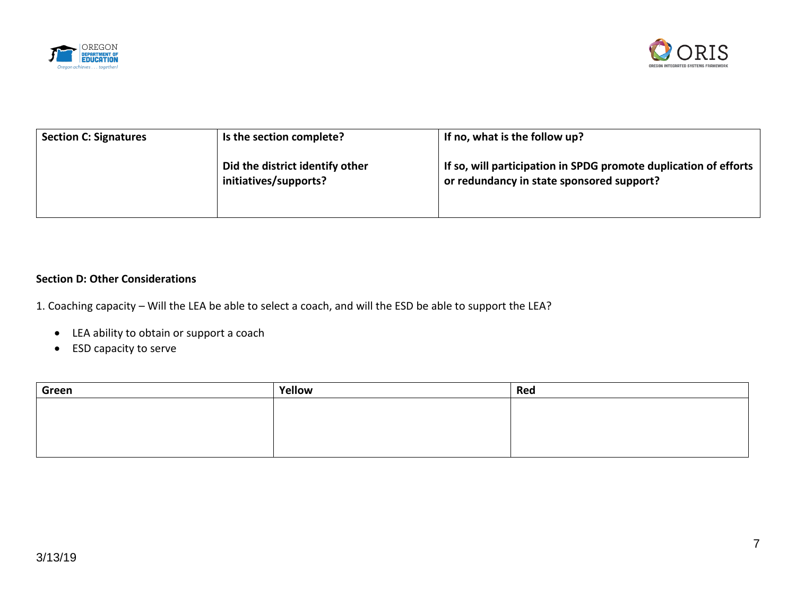



| <b>Section C: Signatures</b> | Is the section complete?                                 | If no, what is the follow up?                                                                                 |
|------------------------------|----------------------------------------------------------|---------------------------------------------------------------------------------------------------------------|
|                              | Did the district identify other<br>initiatives/supports? | If so, will participation in SPDG promote duplication of efforts<br>or redundancy in state sponsored support? |

### **Section D: Other Considerations**

1. Coaching capacity – Will the LEA be able to select a coach, and will the ESD be able to support the LEA?

- LEA ability to obtain or support a coach
- ESD capacity to serve

| Green | Yellow | Red |
|-------|--------|-----|
|       |        |     |
|       |        |     |
|       |        |     |
|       |        |     |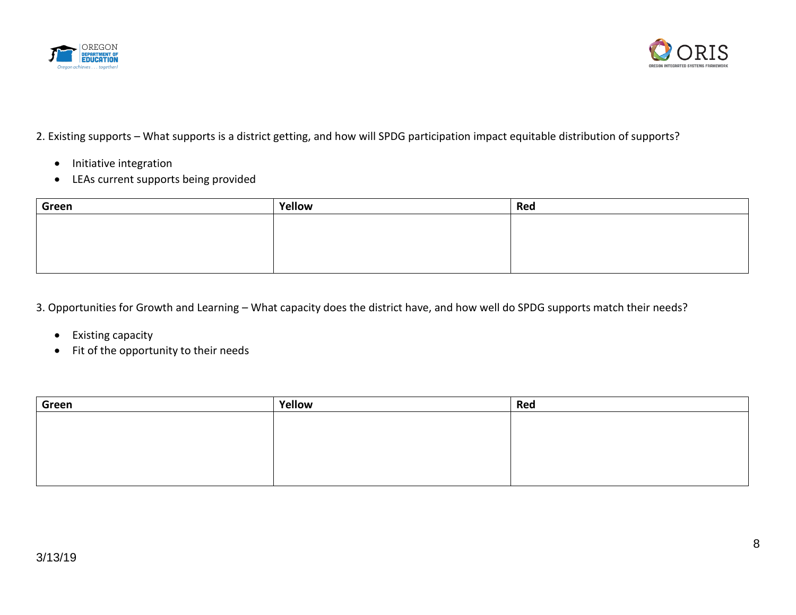



# 2. Existing supports – What supports is a district getting, and how will SPDG participation impact equitable distribution of supports?

- Initiative integration
- LEAs current supports being provided

| Green | Yellow | Red |
|-------|--------|-----|
|       |        |     |
|       |        |     |
|       |        |     |
|       |        |     |

3. Opportunities for Growth and Learning – What capacity does the district have, and how well do SPDG supports match their needs?

- Existing capacity
- Fit of the opportunity to their needs

| Green | Yellow | Red |
|-------|--------|-----|
|       |        |     |
|       |        |     |
|       |        |     |
|       |        |     |
|       |        |     |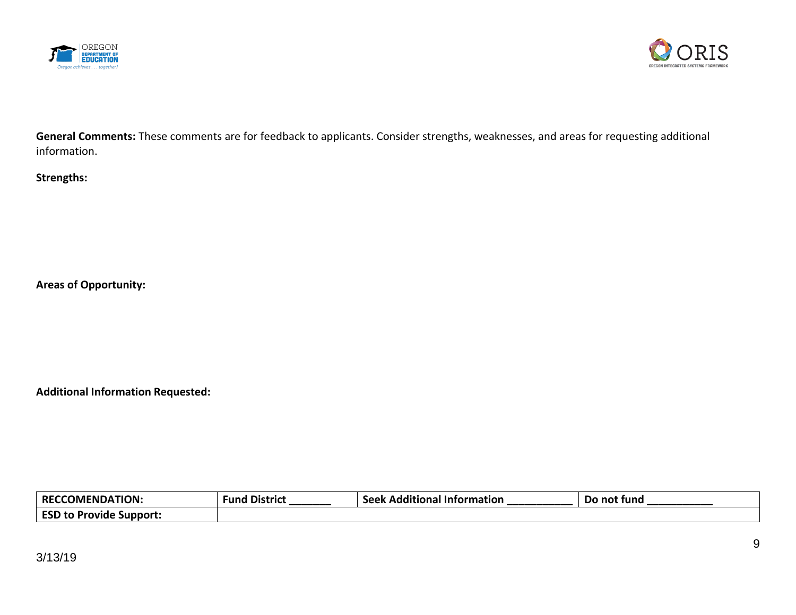



**General Comments:** These comments are for feedback to applicants. Consider strengths, weaknesses, and areas for requesting additional information.

# **Strengths:**

**Areas of Opportunity:**

**Additional Information Requested:** 

| $RECT^2$<br><b>COMENDATION:</b>             | <b>Fund District</b> | .<br>≤eek<br>- Additional<br><b>\tormation</b><br>JEEN | Do<br>) not fund |
|---------------------------------------------|----------------------|--------------------------------------------------------|------------------|
| <b>ESD</b><br>.<br>: Support:<br>rovide<br> |                      |                                                        |                  |